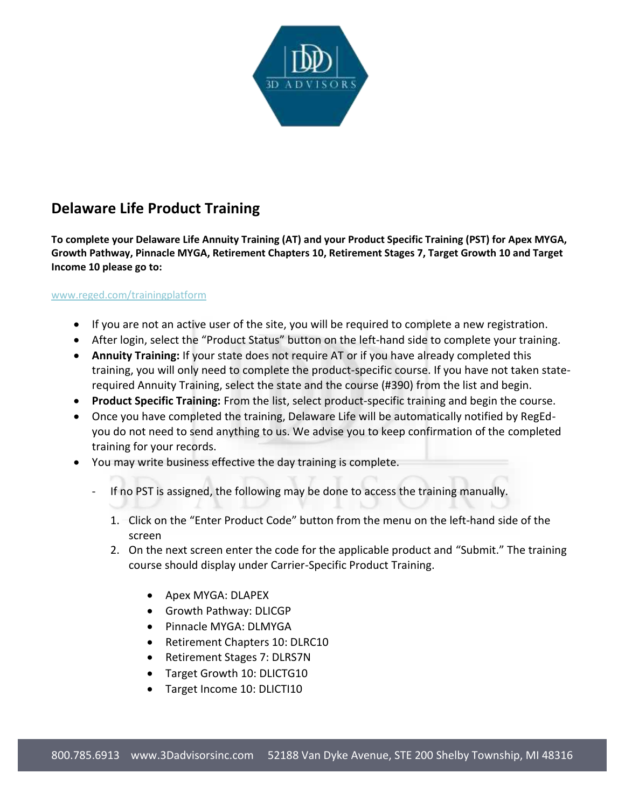

## **Delaware Life Product Training**

**To complete your Delaware Life Annuity Training (AT) and your Product Specific Training (PST) for Apex MYGA, Growth Pathway, Pinnacle MYGA, Retirement Chapters 10, Retirement Stages 7, Target Growth 10 and Target Income 10 please go to:** 

## [www.reged.com/trainingplatform](http://www.reged.com/trainingplatform)

- If you are not an active user of the site, you will be required to complete a new registration.
- After login, select the "Product Status" button on the left-hand side to complete your training.
- **Annuity Training:** If your state does not require AT or if you have already completed this training, you will only need to complete the product-specific course. If you have not taken staterequired Annuity Training, select the state and the course (#390) from the list and begin.
- **Product Specific Training:** From the list, select product-specific training and begin the course.
- Once you have completed the training, Delaware Life will be automatically notified by RegEdyou do not need to send anything to us. We advise you to keep confirmation of the completed training for your records.
- You may write business effective the day training is complete.
	- If no PST is assigned, the following may be done to access the training manually.
		- 1. Click on the "Enter Product Code" button from the menu on the left-hand side of the screen
		- 2. On the next screen enter the code for the applicable product and "Submit." The training course should display under Carrier-Specific Product Training.
			- Apex MYGA: DLAPEX
			- Growth Pathway: DLICGP
			- Pinnacle MYGA: DLMYGA
			- Retirement Chapters 10: DLRC10
			- Retirement Stages 7: DLRS7N
			- Target Growth 10: DLICTG10
			- Target Income 10: DLICTI10